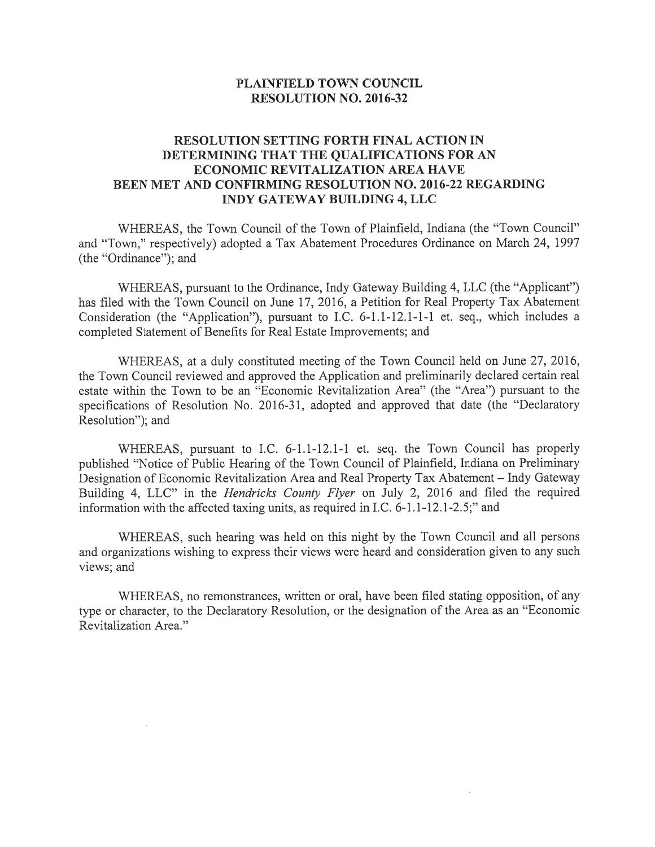## PLAINFIELD TOWN COUNCIL RESOLUTION NO. 2016-32

## RESOLUTION SETTING FORTH FINAL ACTION IN DETERMINING THAT THE QUALIFICATIONS FOR AN ECONOMIC REVITALIZATION AREA HAVE BEEN MET AND CONFIRMING RESOLUTION NO. 2016-22 REGARDING INDY GATEWAY BUILDING 4, LLC

WHEREAS, the Town Council of the Town of Plainfield, Indiana (the "Town Council" and "Town," respectively) adopted <sup>a</sup> Tax Abatement Procedures Ordinance on March 24, 1997 (the "Ordinance"); and

WHEREAS, pursuan<sup>t</sup> to the Ordinance, Indy Gateway Building 4, LLC (the "Applicant") has filed with the Town Council on June 17, 2016, <sup>a</sup> Petition for Real Property Tax Abatement Consideration (the "Application"), pursuan<sup>t</sup> to I.C. 6-1.1-12.1-1-1 et. seq., which includes <sup>a</sup> completed Statement of Benefits for Real Estate Improvements; and

WHEREAS, at <sup>a</sup> duly constituted meeting of the Town Council held on June 27, 2016, the Town Council reviewed and approved the Application and preliminarily declared certain real estate within the Town to be an "Economic Revitalization Area" (the "Area") pursuan<sup>t</sup> to the specifications of Resolution No. 2016-31, adopted and approved that date (the "Declaratory Resolution"); and

WHEREAS, pursuan<sup>t</sup> to I.C. 6-1.1-12.1-1 et. seq. the Town Council has properly published "Notice of Public Hearing of the Town Council of Plainfield, Indiana on Preliminary Designation of Economic Revitalization Area and Real Property Tax Abatement — Indy Gateway Building 4, LLC" in the *Hendricks County Flyer* on July 2, 2016 and filed the required information with the affected taxing units, as required in I.C. 6-1.1-12.1-2.5;" and

WHEREAS, such hearing was held on this night by the Town Council and all persons and organizations wishing to express their views were heard and consideration <sup>g</sup>iven to any such views; and

WHEREAS, no remonstrances, written or oral, have been filed stating opposition, of any type or character, to the Declaratory Resolution, or the designation of the Area as an "Economic Revitalization Area."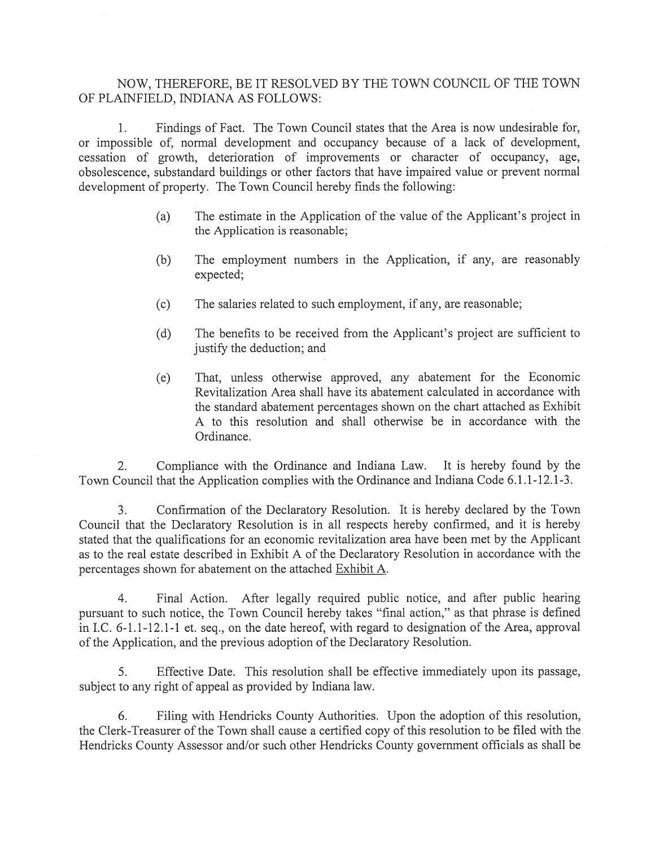## NOW, THEREFORE, BE IT RESOLVED BY THE TOWN COUNCIL OF THE TOWN OF PLAINFIELD, INDIANA AS FOLLOWS:

1. Findings of Fact. The Town Council states that the Area is now undesirable for, or impossible of, normal development and occupancy because of <sup>a</sup> lack of development, cessation of growth, deterioration of improvements or character of occupancy, age, obsolescence, substandard buildings or other factors that have impaired value or preven<sup>t</sup> normal development of property. The Town Council hereby finds the following:

- (a) The estimate in the Application of the value of the Applicant's project in the Application is reasonable;
- (b) The employment numbers in the Application, if any, are reasonably expected;
- (c) The salaries related to such employment, if any, are reasonable;
- (d) The benefits to be received from the Applicant's project are sufficient to justify the deduction; and
- (e) That, unless otherwise approved, any abatement for the Economic Revitalization Area shall have its abatement calculated in accordance with the standard abatement percentages shown on the chart attached as Exhibit A to this resolution and shall otherwise be in accordance with the Ordinance.

2. Compliance with the Ordinance and Indiana Law. It is hereby found by the Town Council that the Application complies with the Ordinance and Indiana Code 6.1.1-12.1-3.

3. Confirmation of the Declaratory Resolution. It is hereby declared by the Town Council that the Declaratory Resolution is in all respects hereby confirmed, and it is hereby stated that the qualifications for an economic revitalization area have been met by the Applicant as to the real estate described in Exhibit A of the Declaratory Resolution in accordance with the percentages shown for abatement on the attached Exhibit A.

4. Final Action. After legally required public notice, and after public hearing pursuan<sup>t</sup> to such notice, the Town Council hereby takes "final action," as that <sup>p</sup>hrase is defined in I.C. 6-1.1-12.1-1 et. seq., on the date hereof, with regard to designation of the Area, approval of the Application, and the previous adoption of the Declaratory Resolution.

5. Effective Date. This resolution shall be effective immediately upon its passage, subject to any right of appeal as provided by Indiana law.

6. Filing with Hendricks County Authorities. Upon the adoption of this resolution, the Clerk-Treasurer of the Town shall cause <sup>a</sup> certified copy of this resolution to be filed with the Hendricks County Assessor and/or such other Hendricks County governmen<sup>t</sup> officials as shall be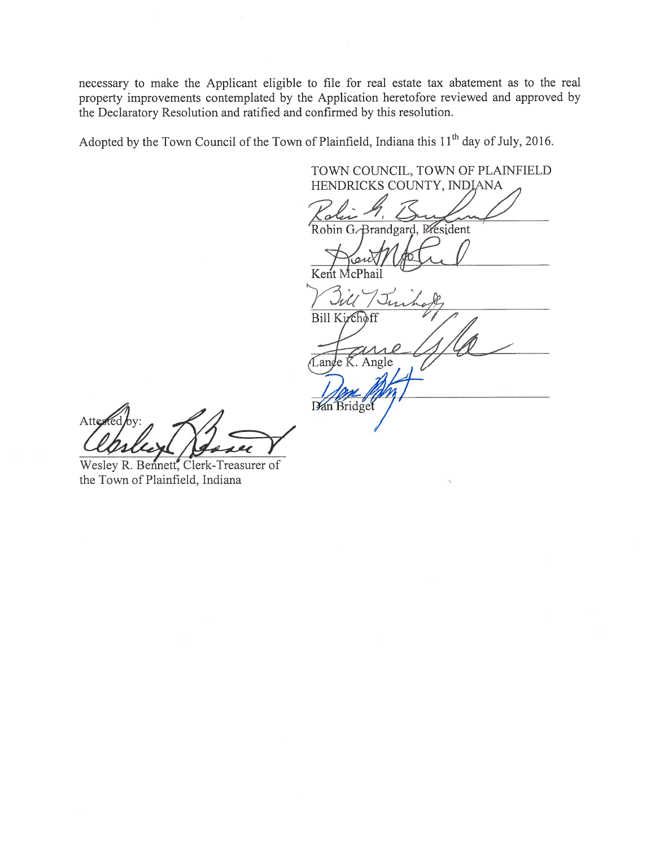necessary to make the Applicant eligible to file for real estate tax abatement as to the real property improvements contemplated by the Application heretofore reviewed and approved by the Declaratory Resolution and ratified and confirmed by this resolution.

Adopted by the Town Council of the Town of Plainfield, Indiana this  $11<sup>th</sup>$  day of July, 2016.

TOWN COUNCIL, TOWN OF PLAINFIELD HENDRICKS COUNTY, INDIANA lii h Robin G.-Brandgard, President  $K$ ent Bill Kirchoff  $\overline{\mathcal{L}}$ ange  $\overline{\mathcal{K}}$ . Angle Dan Bridget

leslied Have

Wesley R. Bennett, Clerk-Treasurer of the Town of Plainfield, Indiana